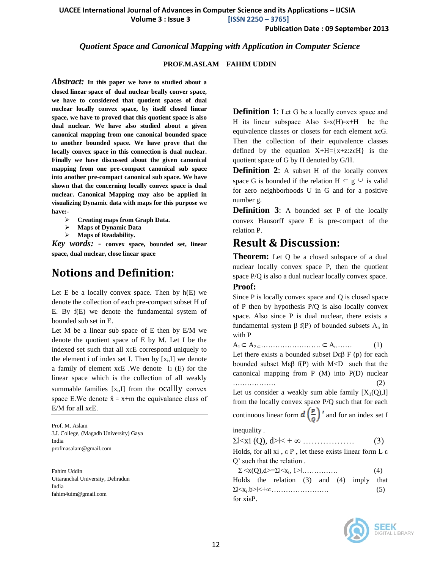**UACEE International Journal of Advances in Computer Science and its Applications – IJCSIA**

 **Volume 3 : Issue 3 [ISSN 2250 – 3765]**

**Publication Date : 09 September 2013**

#### *Quotient Space and Canonical Mapping with Application in Computer Science*

#### **PROF.M.ASLAM FAHIM UDDIN**

*Abstract:* **In this paper we have to studied about a closed linear space of dual nuclear beally conver space, we have to considered that quotient spaces of dual nuclear locally convex space, by itself closed linear space, we have to proved that this quotient space is also dual nuclear. We have also studied about a given canonical mapping from one canonical bounded space to another bounded space. We have prove that the locally convex space in this connection is dual nuclear. Finally we have discussed about the given canonical mapping from one pre-compact canonical sub space into another pre-compact canonical sub space. We have shown that the concerning locally convex space is dual nuclear. Canonical Mapping may also be applied in visualizing Dynamic data with maps for this purpose we have:-**

- **Creating maps from Graph Data.**
- **Maps of Dynamic Data**
- **Maps of Readability.**

*Key words:* - **convex space, bounded set, linear space, dual nuclear, close linear space**

### **Notions and Definition:**

Let E be a locally convex space. Then by  $h(E)$  we denote the collection of each pre-compact subset H of E. By f(E) we denote the fundamental system of bounded sub set in E.

Let M be a linear sub space of E then by E/M we denote the quotient space of E by M. Let I be the indexed set such that all xϵE correspond uniquely to the element i of index set I. Then by  $[x_i, I]$  we denote a family of element  $x \in E$ . We denote I<sub>1</sub> (E) for the linear space which is the collection of all weakly summable families  $[x_i, I]$  from the ocallly convex space E.We denote  $\hat{x} = x+m$  the equivalance class of E/M for all  $x \in E$ .

Prof. M. Aslam J.J. College, (Magadh University) Gaya India profmasalam@gmail.com

Fahim Uddin Uttaranchal University, Dehradun India fahim4uim@gmail.com

**Definition 1**: Let G be a locally convex space and H its linear subspace Also  $\hat{x} = x(H) = x + H$  be the equivalence classes or closets for each element x∈G. Then the collection of their equivalence classes defined by the equation  $X+H=\{x+z:z\in H\}$  is the quotient space of G by H denoted by G/H.

**Definition 2:** A subset H of the locally convex space G is bounded if the relation  $H \subseteq g \cup$  is valid for zero neighborhoods U in G and for a positive number g.

**Definition 3:** A bounded set P of the locally convex Hausorff space E is pre-compact of the relation P.

### **Result & Discussion:**

**Theorem:** Let Q be a closed subspace of a dual nuclear locally convex space P, then the quotient space P/Q is also a dual nuclear locally convex space. **Proof:**

Since P is locally convex space and Q is closed space of P then by hypothesis P/Q is also locally convex space. Also since P is dual nuclear, there exists a fundamental system β f(P) of bounded subsets  $A_n$  in with P

 $A_1 \subset A_2 \subset \ldots \ldots \ldots \ldots \ldots \subset A_n \ldots$  (1) Let there exists a bounded subset  $D \varepsilon \beta$  F (p) for each bounded subset Mεβ  $f(P)$  with M<D such that the canonical mapping from P (M) into P(D) nuclear ……………… (2)

Let us consider a weakly sum able family  $[X_1(Q),I]$ from the locally convex space P/Q such that for each continuous linear form  $d\left(\frac{p}{q}\right)'$  and for an index set I

inequality .

| $\Sigma \times$ xi (Q), d> $\lt +\infty$                                   | (3) |
|----------------------------------------------------------------------------|-----|
| Holds, for all xi, $\epsilon$ P, let these exists linear form L $\epsilon$ |     |
| Q' such that the relation.                                                 |     |
| $\Sigma \leq x(Q), d \geq \Sigma \leq x_i, 1 \geq 1, \ldots, \ldots,$      | (4) |
| Holds the relation $(3)$ and $(4)$ imply that                              |     |
|                                                                            | (5) |
| for xiεP.                                                                  |     |
|                                                                            |     |

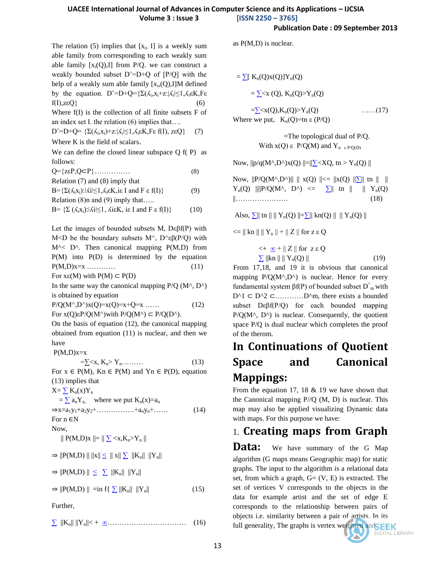#### **UACEE International Journal of Advances in Computer Science and its Applications – IJCSIA Volume 3 : Issue 3 [ISSN 2250 – 3765]**

as P(M,D) is nuclear.

The relation  $(5)$  implies that  $[x_i, I]$  is a weekly sum able family from corresponding to each weakly sum able family  $[x_i(Q), I]$  from P/Q. we can construct a weakly bounded subset  $D^2=D+Q$  of  $[P/Q]$  with the help of a weakly sum able family  $[x_i,(Q),I]M$  defined by the equation.  $D^{\sim} = D + Q = {\Sigma(\Lambda_i, x_i + z : |\Lambda_i| \leq 1, \Lambda_i \in K, F \varepsilon}$  $f(I), zeQ$ } (6)

Where f(I) is the collection of all finite subsets F of an index set I. the relation  $(6)$  implies that...

$$
D^{\hat{}}=D+Q=\{\Sigma(\Lambda_i,x_i)+z\text{ : }|\Lambda_i|\leq 1,\Lambda_i\epsilon K,F\epsilon\ f(I),\ z\epsilon Q\}\qquad(7)
$$

Where K is the field of scalars.

We can define the closed linear subspace Q f( P) as follows:

 $Q = \{z \in P, Q \subset P\}$  (8)

Relation (7) and (8) imply that

 $B=\{\Sigma(\Lambda_i x_i):|\Lambda_i|\leq 1, \Lambda_i \in K, i\in I \text{ and } F \in f(I)\}$  (9) Relation (8)n and (9) imply that.....

$$
B = \{ \Sigma (\Lambda_i x_i) : |\Lambda i| \le 1, \text{ } \Lambda i \in K, \text{ } i \in I \text{ and } F \in f(I) \}
$$
 (10)

Let the images of bounded subsets M,  $D \varepsilon \beta f(P)$  with M<D be the boundary subsets M^, D^ $\epsilon\beta(P/Q)$  with  $M^{\wedge}$  D<sup> $\wedge$ </sup>. Then canonical mapping P(M,D) from P(M) into P(D) is determined by the equation  $P(M,D)x=x$  ………… (11)

For  $x \in (M)$  with  $P(M) \subset P(D)$ 

In the same way the canonical mapping  $P/O (M<sup>2</sup>, D<sup>2</sup>)$ is obtained by equation

 $P/Q(M^{\wedge}, D^{\wedge})x(Q)=x(Q)=x+Q=x$  …… (12) For  $x(Q) \varepsilon P/Q(M^{\wedge})$  with  $P/Q(M^{\wedge}) \subset P/Q(D^{\wedge})$ .

On the basis of equation (12), the canonical mapping obtained from equation (11) is nuclear, and then we have

 $P(M,D)x=x$ 

$$
=\sum x, K_n > Y_n \dots \dots \tag{13}
$$

For  $x \in P(M)$ , Kn  $\in P(M)$  and Yn  $\in P(D)$ , equation (13) implies that

 $X = \sum K_n(x)Y_n$ 

 $=\sum a_n Y_n$ , where we put  $K_n(x)=a_n$  $\Rightarrow$ x=a<sub>1</sub>y<sub>1</sub>+a<sub>2</sub>y<sub>2</sub>+................+a<sub>n</sub>y<sub>n</sub>+....... (14) For n ∈N

Now,

$$
\parallel P(M,D)x\parallel=\parallel\sum< x,K_n>Y_n\parallel
$$

$$
\Rightarrow \|P(M,D)\parallel \|x\|\leq\ \parallel x\|\sum\ \|K_n\|\ \|Y_n\|
$$

 $\Rightarrow$   $||P(M,D)|| \leq \sum ||K_n|| ||Y_n||$ 

 $\Rightarrow$   $||P(M,D)|| = \inf\{\sum ||K_n|| ||Y_n||$  (15)

Further,

[∑](http://en.wikipedia.org/wiki/Sigma_%28letter%29) ||Kn|| ||Yn||< + [∞…](http://en.wikipedia.org/wiki/Infinity)………………………… (16)

 $=\sum K_n(Q)x(Q)]Y_n(Q)$ 

 $=\sum Y_n(Q)$ 

 $=\sum x(Q), K_n(Q) > Y_n(Q)$  ……(17) Where we put,  $K_n(Q)=\text{tn } \varepsilon(P/Q)$ 

> $=$ The topological dual of P/Q. With x(Q) ε P/Q(M) and Y<sub>n ε P/Q(D)</sub>

Now,  $||p/q(M^{\wedge},D^{\wedge})x(Q)||=||\sum\langle XQ, tn\rangle Y_n(Q)||$ 

Now,  $||P/Q(M^{\wedge}, D^{\wedge})|| || x(Q) || \le ||x(Q) || \sum ||$  tn  $|| || ||$  $Y_n(Q)$  |||| $P/Q(M^{\wedge}, D^{\wedge}) \leq \sum ||n|| \cdot ||N_n(Q)$ ||………………… (18)

Also,  $\Sigma$ || tn || || Y<sub>n</sub>(Q) ||= $\Sigma$ || kn(Q) || || Y<sub>n</sub>(Q) ||

 $\leq$   $=$   $\|$  kn  $\|$   $\|$   $Y_n$   $\|$   $+$   $\|$   $Z$   $\|$  for z  $\varepsilon$  Q

$$
\langle + \underline{\infty} + || Z || \text{ for } z \in Q
$$
  

$$
\sum ||\mathbf{k}\mathbf{n}|| || Y_{\mathbf{n}}(Q) ||
$$
 (19)

 From 17,18, and 19 it is obvious that canonical mapping  $P/Q(M^{\wedge}, D^{\wedge})$  is nuclear. Hence for every fundamental system  $\beta f(P)$  of bounded subset D<sup> $\hat{}$ </sup><sub>m</sub> with  $D^1 \subset D^2 \subset \dots \dots \dots D^m$ , there exists a bounded subset  $\text{Def}(P/O)$  for each bounded mapping  $P/Q(M^{\wedge}, D^{\wedge})$  is nuclear. Consequently, the quotient space P/Q is dual nuclear which completes the proof of the therom.

# **In Continuations of Quotient Space and Canonical Mappings:**

From the equation 17, 18 & 19 we have shown that the Canonical mapping  $P/(Q (M, D))$  is nuclear. This map may also be applied visualizing Dynamic data with maps. For this purpose we have:

# 1. **Creating maps from Graph**

**Data:** We have summary of the G Map algorithm (G maps means Geographic map) for static graphs. The input to the algorithm is a relational data set, from which a graph,  $G = (V, E)$  is extracted. The set of vertices V corresponds to the objects in the data for example artist and the set of edge E corresponds to the relationship between pairs of objects i.e. similarity between a pair of artists. In its full generality, The graphs is vertex weighted and  $\overline{\mathsf{SEK}}$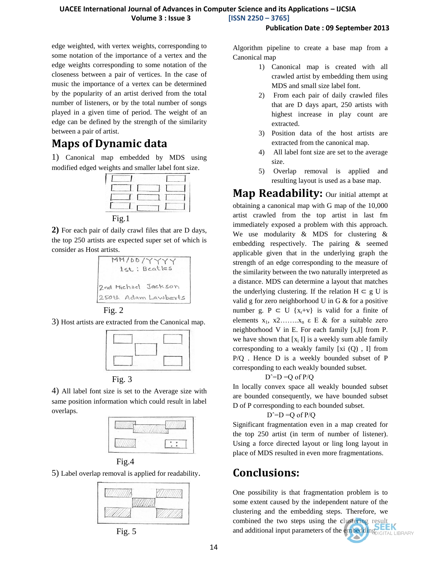#### **UACEE International Journal of Advances in Computer Science and its Applications – IJCSIA Volume 3 : Issue 3 [ISSN 2250 – 3765]**

#### **Publication Date : 09 September 2013**

edge weighted, with vertex weights, corresponding to some notation of the importance of a vertex and the edge weights corresponding to some notation of the closeness between a pair of vertices. In the case of music the importance of a vertex can be determined by the popularity of an artist derived from the total number of listeners, or by the total number of songs played in a given time of period. The weight of an edge can be defined by the strength of the similarity between a pair of artist.

# **Maps of Dynamic data**

1) Canonical map embedded by MDS using modified edged weights and smaller label font size.



**2)** For each pair of daily crawl files that are D days, the top 250 artists are expected super set of which is consider as Host artists.





3) Host artists are extracted from the Canonical map.



Fig. 3

4) All label font size is set to the Average size with same position information which could result in label overlaps.





5) Label overlap removal is applied for readability.



Fig. 5

Algorithm pipeline to create a base map from a Canonical map

- 1) Canonical map is created with all crawled artist by embedding them using MDS and small size label font.
- 2) From each pair of daily crawled files that are D days apart, 250 artists with highest increase in play count are extracted.
- 3) Position data of the host artists are extracted from the canonical map.
- 4) All label font size are set to the average size.
- 5) Overlap removal is applied and resulting layout is used as a base map.

**Map Readability:** Our initial attempt at obtaining a canonical map with G map of the 10,000 artist crawled from the top artist in last fm immediately exposed a problem with this approach. We use modularity & MDS for clustering & embedding respectively. The pairing & seemed applicable given that in the underlying graph the strength of an edge corresponding to the measure of the similarity between the two naturally interpreted as a distance. MDS can determine a layout that matches the underlying clustering. If the relation  $H \subset g$  U is valid g for zero neighborhood U in G & for a positive number g. P  $\subset U$  {x<sub>r</sub>+v} is valid for a finite of elements  $x_1, x_2, \ldots, x_n \in E$  & for a suitable zero neighborhood V in E. For each family  $[x_i]$  from P. we have shown that  $[x_i]$  is a weekly sum able family corresponding to a weakly family  $[xi (0)$ , I from P/Q . Hence D is a weekly bounded subset of P corresponding to each weakly bounded subset.

#### $D^{\sim}=D = O$  of  $P/O$

In locally convex space all weakly bounded subset are bounded consequently, we have bounded subset D of P corresponding to each bounded subset.

#### $D^{\sim}=D=Q$  of  $P/Q$

Significant fragmentation even in a map created for the top 250 artist (in term of number of listener). Using a force directed layout or ling long layout in place of MDS resulted in even more fragmentations.

## **Conclusions:**

One possibility is that fragmentation problem is to some extent caused by the independent nature of the clustering and the embedding steps. Therefore, we combined the two steps using the clustering result and additional input parameters of the embedding ILLERARY